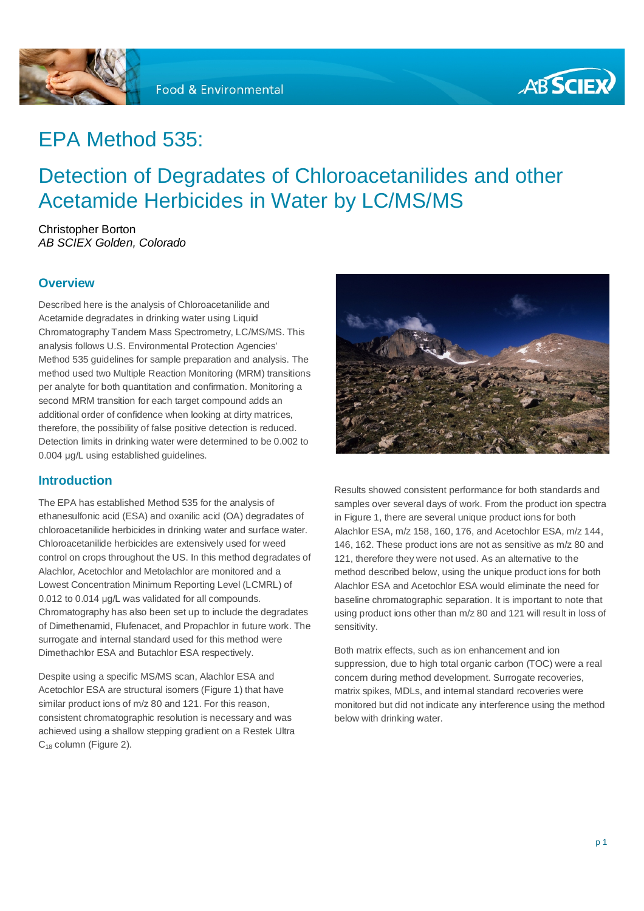



## EPA Method 535:

## Detection of Degradates of Chloroacetanilides and other Acetamide Herbicides in Water by LC/MS/MS

Christopher Borton *AB SCIEX Golden, Colorado* 

#### **Overview**

Described here is the analysis of Chloroacetanilide and Acetamide degradates in drinking water using Liquid Chromatography Tandem Mass Spectrometry, LC/MS/MS. This analysis follows U.S. Environmental Protection Agencies' Method 535 guidelines for sample preparation and analysis. The method used two Multiple Reaction Monitoring (MRM) transitions per analyte for both quantitation and confirmation. Monitoring a second MRM transition for each target compound adds an additional order of confidence when looking at dirty matrices, therefore, the possibility of false positive detection is reduced. Detection limits in drinking water were determined to be 0.002 to 0.004 μg/L using established guidelines.

#### **Introduction**

The EPA has established Method 535 for the analysis of ethanesulfonic acid (ESA) and oxanilic acid (OA) degradates of chloroacetanilide herbicides in drinking water and surface water. Chloroacetanilide herbicides are extensively used for weed control on crops throughout the US. In this method degradates of Alachlor, Acetochlor and Metolachlor are monitored and a Lowest Concentration Minimum Reporting Level (LCMRL) of 0.012 to 0.014 μg/L was validated for all compounds. Chromatography has also been set up to include the degradates of Dimethenamid, Flufenacet, and Propachlor in future work. The surrogate and internal standard used for this method were Dimethachlor ESA and Butachlor ESA respectively.

Despite using a specific MS/MS scan, Alachlor ESA and Acetochlor ESA are structural isomers (Figure 1) that have similar product ions of m/z 80 and 121. For this reason, consistent chromatographic resolution is necessary and was achieved using a shallow stepping gradient on a Restek Ultra C<sub>18</sub> column (Figure 2).



Results showed consistent performance for both standards and samples over several days of work. From the product ion spectra in Figure 1, there are several unique product ions for both Alachlor ESA, m/z 158, 160, 176, and Acetochlor ESA, m/z 144, 146, 162. These product ions are not as sensitive as m/z 80 and 121, therefore they were not used. As an alternative to the method described below, using the unique product ions for both Alachlor ESA and Acetochlor ESA would eliminate the need for baseline chromatographic separation. It is important to note that using product ions other than m/z 80 and 121 will result in loss of sensitivity.

Both matrix effects, such as ion enhancement and ion suppression, due to high total organic carbon (TOC) were a real concern during method development. Surrogate recoveries, matrix spikes, MDLs, and internal standard recoveries were monitored but did not indicate any interference using the method below with drinking water.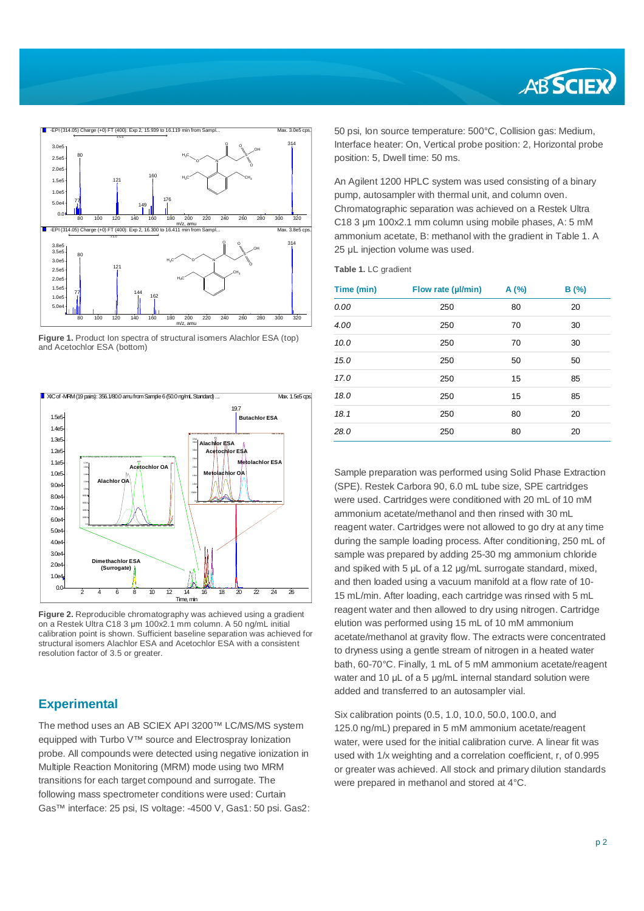



**Figure 1.** Product Ion spectra of structural isomers Alachlor ESA (top) and Acetochlor ESA (bottom)



**Figure 2.** Reproducible chromatography was achieved using a gradient on a Restek Ultra C18 3 μm 100x2.1 mm column. A 50 ng/mL initial calibration point is shown. Sufficient baseline separation was achieved for structural isomers Alachlor ESA and Acetochlor ESA with a consistent resolution factor of 3.5 or greater.

#### **Experimental**

The method uses an AB SCIEX API 3200™ LC/MS/MS system equipped with Turbo V™ source and Electrospray Ionization probe. All compounds were detected using negative ionization in Multiple Reaction Monitoring (MRM) mode using two MRM transitions for each target compound and surrogate. The following mass spectrometer conditions were used: Curtain Gas™ interface: 25 psi, IS voltage: -4500 V, Gas1: 50 psi. Gas2: 50 psi, Ion source temperature: 500°C, Collision gas: Medium, Interface heater: On, Vertical probe position: 2, Horizontal probe position: 5, Dwell time: 50 ms.

An Agilent 1200 HPLC system was used consisting of a binary pump, autosampler with thermal unit, and column oven. Chromatographic separation was achieved on a Restek Ultra C18 3 um 100x2.1 mm column using mobile phases, A: 5 mM ammonium acetate, B: methanol with the gradient in Table 1. A 25 μL injection volume was used.

**Table 1.** LC gradient

| 0.00<br>250<br>80<br>20<br>4.00<br>250<br>70<br>30<br>10.0<br>250<br>70<br>30<br>250<br>15.0<br>50<br>50<br>17.0<br>250<br>15<br>85<br>250<br>18.0<br>15<br>85<br>18.1<br>250<br>80<br>20<br>28.0<br>250<br>80<br>20 | Time (min) | Flow rate (µl/min) | A(%) | B(%) |
|----------------------------------------------------------------------------------------------------------------------------------------------------------------------------------------------------------------------|------------|--------------------|------|------|
|                                                                                                                                                                                                                      |            |                    |      |      |
|                                                                                                                                                                                                                      |            |                    |      |      |
|                                                                                                                                                                                                                      |            |                    |      |      |
|                                                                                                                                                                                                                      |            |                    |      |      |
|                                                                                                                                                                                                                      |            |                    |      |      |
|                                                                                                                                                                                                                      |            |                    |      |      |
|                                                                                                                                                                                                                      |            |                    |      |      |
|                                                                                                                                                                                                                      |            |                    |      |      |

Sample preparation was performed using Solid Phase Extraction (SPE). Restek Carbora 90, 6.0 mL tube size, SPE cartridges were used. Cartridges were conditioned with 20 mL of 10 mM ammonium acetate/methanol and then rinsed with 30 mL reagent water. Cartridges were not allowed to go dry at any time during the sample loading process. After conditioning, 250 mL of sample was prepared by adding 25-30 mg ammonium chloride and spiked with 5 μL of a 12 μg/mL surrogate standard, mixed, and then loaded using a vacuum manifold at a flow rate of 10- 15 mL/min. After loading, each cartridge was rinsed with 5 mL reagent water and then allowed to dry using nitrogen. Cartridge elution was performed using 15 mL of 10 mM ammonium acetate/methanol at gravity flow. The extracts were concentrated to dryness using a gentle stream of nitrogen in a heated water bath, 60-70°C. Finally, 1 mL of 5 mM ammonium acetate/reagent water and 10 μL of a 5 μg/mL internal standard solution were added and transferred to an autosampler vial.

Six calibration points (0.5, 1.0, 10.0, 50.0, 100.0, and 125.0 ng/mL) prepared in 5 mM ammonium acetate/reagent water, were used for the initial calibration curve. A linear fit was used with 1/x weighting and a correlation coefficient, r, of 0.995 or greater was achieved. All stock and primary dilution standards were prepared in methanol and stored at 4°C.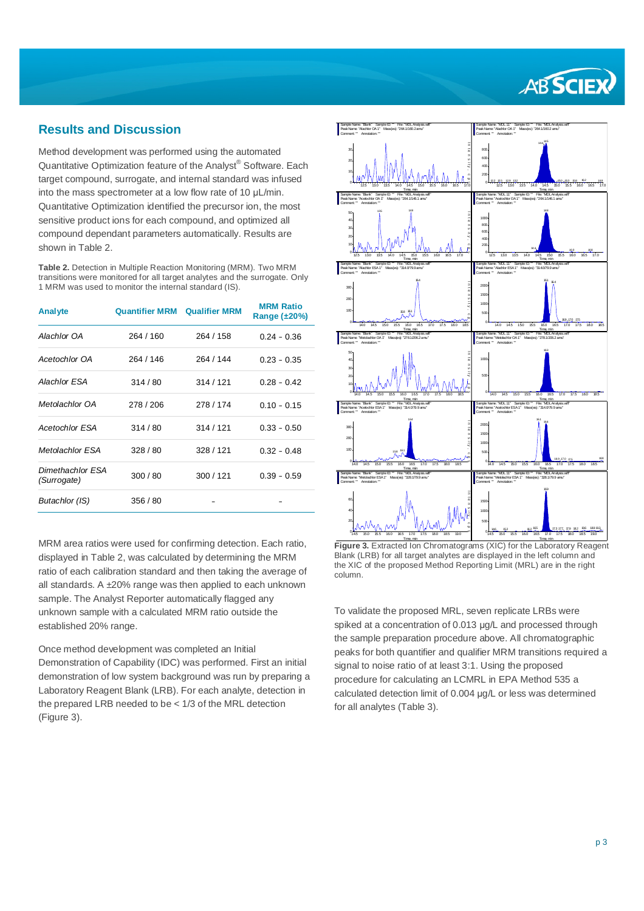# **ABSCIEX**

#### **Results and Discussion**

Method development was performed using the automated Quantitative Optimization feature of the Analyst® Software. Each target compound, surrogate, and internal standard was infused into the mass spectrometer at a low flow rate of 10 μL/min. Quantitative Optimization identified the precursor ion, the most sensitive product ions for each compound, and optimized all compound dependant parameters automatically. Results are shown in Table 2.

**Table 2.** Detection in Multiple Reaction Monitoring (MRM). Two MRM transitions were monitored for all target analytes and the surrogate. Only 1 MRM was used to monitor the internal standard (IS).

| <b>Analyte</b>                  | <b>Quantifier MRM</b> | <b>Qualifier MRM</b> | <b>MRM Ratio</b><br>Range $(\pm 20\%)$ |
|---------------------------------|-----------------------|----------------------|----------------------------------------|
| Alachlor OA                     | 264 / 160             | 264 / 158            | $0.24 - 0.36$                          |
| Acetochlor OA                   | 264 / 146             | 264 / 144            | $0.23 - 0.35$                          |
| Alachlor FSA                    | 314/80                | 314/121              | $0.28 - 0.42$                          |
| Metolachlor OA                  | 278 / 206             | 278/174              | $0.10 - 0.15$                          |
| <b>Acetochlor ESA</b>           | 314/80                | 314/121              | $0.33 - 0.50$                          |
| Metolachlor ESA                 | 328/80                | 328 / 121            | $0.32 - 0.48$                          |
| Dimethachlor ESA<br>(Surrogate) | 300/80                | 300 / 121            | $0.39 - 0.59$                          |
| Butachlor (IS)                  | 356 / 80              |                      |                                        |

MRM area ratios were used for confirming detection. Each ratio, displayed in Table 2, was calculated by determining the MRM ratio of each calibration standard and then taking the average of all standards. A  $\pm 20\%$  range was then applied to each unknown sample. The Analyst Reporter automatically flagged any unknown sample with a calculated MRM ratio outside the established 20% range.

Once method development was completed an Initial Demonstration of Capability (IDC) was performed. First an initial demonstration of low system background was run by preparing a Laboratory Reagent Blank (LRB). For each analyte, detection in the prepared LRB needed to be < 1/3 of the MRL detection (Figure 3).



**Figure 3.** Extracted Ion Chromatograms (XIC) for the Laboratory Reagent Blank (LRB) for all target analytes are displayed in the left column and the XIC of the proposed Method Reporting Limit (MRL) are in the right column.

To validate the proposed MRL, seven replicate LRBs were spiked at a concentration of 0.013 μg/L and processed through the sample preparation procedure above. All chromatographic peaks for both quantifier and qualifier MRM transitions required a signal to noise ratio of at least 3:1. Using the proposed procedure for calculating an LCMRL in EPA Method 535 a calculated detection limit of 0.004 μg/L or less was determined for all analytes (Table 3).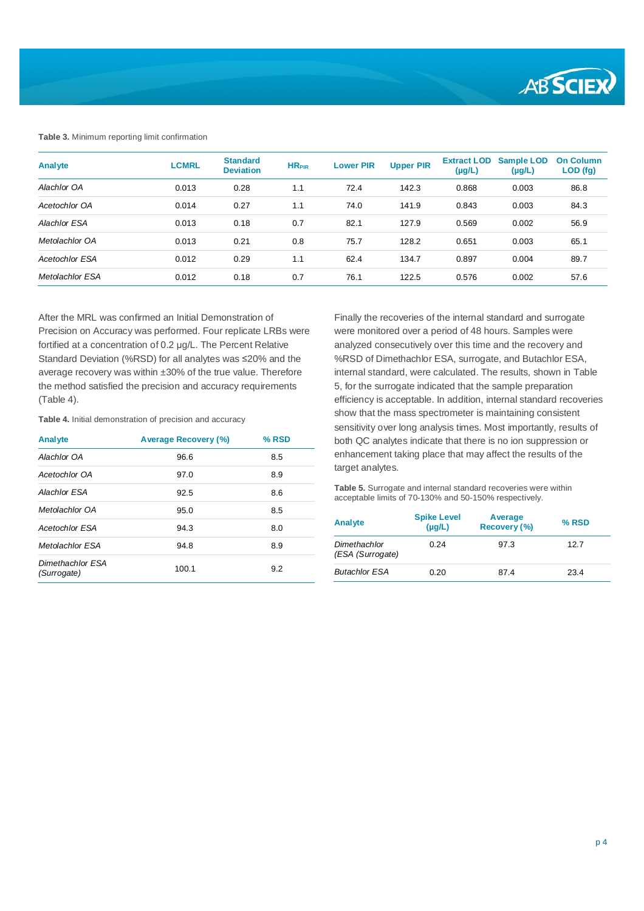

#### **Table 3.** Minimum reporting limit confirmation

| Analyte               | <b>LCMRL</b> | <b>Standard</b><br><b>Deviation</b> | HR <sub>PIR</sub> | <b>Lower PIR</b> | <b>Upper PIR</b> | <b>Extract LOD</b><br>$(\mu g/L)$ | <b>Sample LOD</b><br>$(\mu g/L)$ | <b>On Column</b><br>LOD (fg) |
|-----------------------|--------------|-------------------------------------|-------------------|------------------|------------------|-----------------------------------|----------------------------------|------------------------------|
| Alachlor OA           | 0.013        | 0.28                                | 1.1               | 72.4             | 142.3            | 0.868                             | 0.003                            | 86.8                         |
| Acetochlor OA         | 0.014        | 0.27                                | 1.1               | 74.0             | 141.9            | 0.843                             | 0.003                            | 84.3                         |
| Alachlor ESA          | 0.013        | 0.18                                | 0.7               | 82.1             | 127.9            | 0.569                             | 0.002                            | 56.9                         |
| Metolachlor OA        | 0.013        | 0.21                                | 0.8               | 75.7             | 128.2            | 0.651                             | 0.003                            | 65.1                         |
| <b>Acetochlor ESA</b> | 0.012        | 0.29                                | 1.1               | 62.4             | 134.7            | 0.897                             | 0.004                            | 89.7                         |
| Metolachlor ESA       | 0.012        | 0.18                                | 0.7               | 76.1             | 122.5            | 0.576                             | 0.002                            | 57.6                         |

After the MRL was confirmed an Initial Demonstration of Precision on Accuracy was performed. Four replicate LRBs were fortified at a concentration of 0.2 μg/L. The Percent Relative Standard Deviation (%RSD) for all analytes was ≤20% and the average recovery was within ±30% of the true value. Therefore the method satisfied the precision and accuracy requirements (Table 4).

**Table 4.** Initial demonstration of precision and accuracy

| Analyte                         | <b>Average Recovery (%)</b> | % RSD |
|---------------------------------|-----------------------------|-------|
| Alachlor OA                     | 96.6                        | 8.5   |
| Acetochlor OA                   | 97.0                        | 8.9   |
| Alachlor FSA                    | 92.5                        | 8.6   |
| Metolachlor OA                  | 95.0                        | 8.5   |
| <b>Acetochlor ESA</b>           | 94.3                        | 8.0   |
| Metolachlor ESA                 | 94.8                        | 8.9   |
| Dimethachlor ESA<br>(Surrogate) | 100.1                       | 9.2   |

Finally the recoveries of the internal standard and surrogate were monitored over a period of 48 hours. Samples were analyzed consecutively over this time and the recovery and %RSD of Dimethachlor ESA, surrogate, and Butachlor ESA, internal standard, were calculated. The results, shown in Table 5, for the surrogate indicated that the sample preparation efficiency is acceptable. In addition, internal standard recoveries show that the mass spectrometer is maintaining consistent sensitivity over long analysis times. Most importantly, results of both QC analytes indicate that there is no ion suppression or enhancement taking place that may affect the results of the target analytes.

**Table 5.** Surrogate and internal standard recoveries were within acceptable limits of 70-130% and 50-150% respectively.

| Analyte                          | <b>Spike Level</b><br>$(\mu g/L)$ | Average<br>Recovery (%) | $%$ RSD |
|----------------------------------|-----------------------------------|-------------------------|---------|
| Dimethachlor<br>(ESA (Surrogate) | 0.24                              | 97.3                    | 12.7    |
| <b>Butachlor ESA</b>             | 0.20                              | 87.4                    | 23.4    |